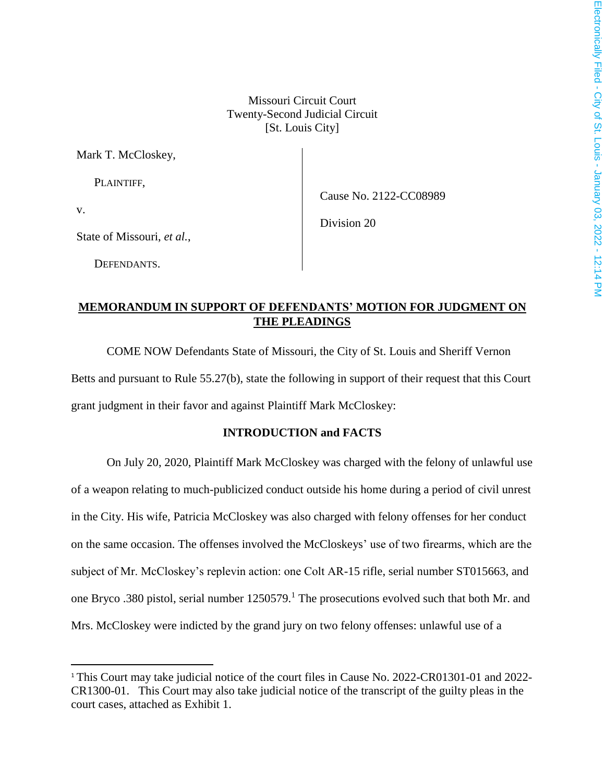Missouri Circuit Court Twenty-Second Judicial Circuit [St. Louis City]

Mark T. McCloskey,

PLAINTIFF,

Cause No. 2122-CC08989

v.

 $\overline{\phantom{a}}$ 

Division 20

State of Missouri, *et al.*,

DEFENDANTS.

## **MEMORANDUM IN SUPPORT OF DEFENDANTS' MOTION FOR JUDGMENT ON THE PLEADINGS**

COME NOW Defendants State of Missouri, the City of St. Louis and Sheriff Vernon Betts and pursuant to Rule 55.27(b), state the following in support of their request that this Court grant judgment in their favor and against Plaintiff Mark McCloskey:

### **INTRODUCTION and FACTS**

On July 20, 2020, Plaintiff Mark McCloskey was charged with the felony of unlawful use of a weapon relating to much-publicized conduct outside his home during a period of civil unrest in the City. His wife, Patricia McCloskey was also charged with felony offenses for her conduct on the same occasion. The offenses involved the McCloskeys' use of two firearms, which are the subject of Mr. McCloskey's replevin action: one Colt AR-15 rifle, serial number ST015663, and one Bryco .380 pistol, serial number 1250579.<sup>1</sup> The prosecutions evolved such that both Mr. and Mrs. McCloskey were indicted by the grand jury on two felony offenses: unlawful use of a

<sup>1</sup> This Court may take judicial notice of the court files in Cause No. 2022-CR01301-01 and 2022- CR1300-01. This Court may also take judicial notice of the transcript of the guilty pleas in the court cases, attached as Exhibit 1.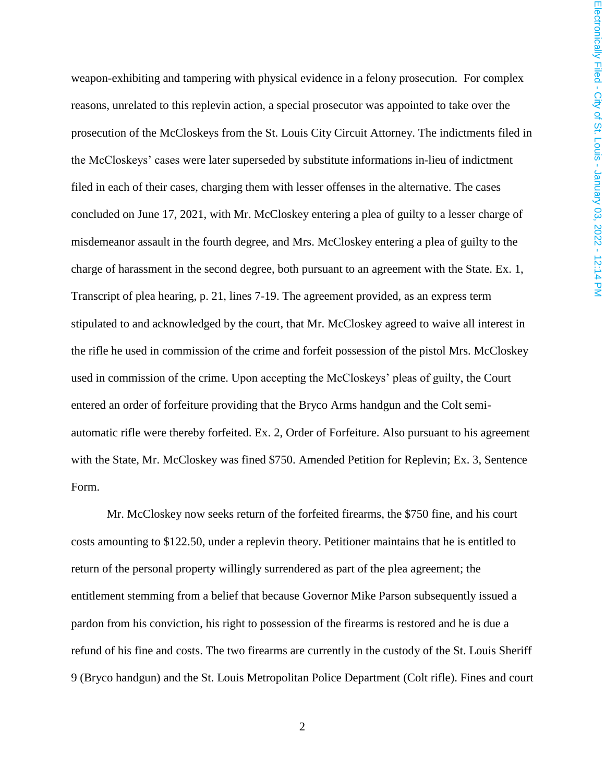weapon-exhibiting and tampering with physical evidence in a felony prosecution. For complex reasons, unrelated to this replevin action, a special prosecutor was appointed to take over the prosecution of the McCloskeys from the St. Louis City Circuit Attorney. The indictments filed in the McCloskeys' cases were later superseded by substitute informations in-lieu of indictment filed in each of their cases, charging them with lesser offenses in the alternative. The cases concluded on June 17, 2021, with Mr. McCloskey entering a plea of guilty to a lesser charge of misdemeanor assault in the fourth degree, and Mrs. McCloskey entering a plea of guilty to the charge of harassment in the second degree, both pursuant to an agreement with the State. Ex. 1, Transcript of plea hearing, p. 21, lines 7-19. The agreement provided, as an express term stipulated to and acknowledged by the court, that Mr. McCloskey agreed to waive all interest in the rifle he used in commission of the crime and forfeit possession of the pistol Mrs. McCloskey used in commission of the crime. Upon accepting the McCloskeys' pleas of guilty, the Court entered an order of forfeiture providing that the Bryco Arms handgun and the Colt semiautomatic rifle were thereby forfeited. Ex. 2, Order of Forfeiture. Also pursuant to his agreement with the State, Mr. McCloskey was fined \$750. Amended Petition for Replevin; Ex. 3, Sentence Form.

Mr. McCloskey now seeks return of the forfeited firearms, the \$750 fine, and his court costs amounting to \$122.50, under a replevin theory. Petitioner maintains that he is entitled to return of the personal property willingly surrendered as part of the plea agreement; the entitlement stemming from a belief that because Governor Mike Parson subsequently issued a pardon from his conviction, his right to possession of the firearms is restored and he is due a refund of his fine and costs. The two firearms are currently in the custody of the St. Louis Sheriff 9 (Bryco handgun) and the St. Louis Metropolitan Police Department (Colt rifle). Fines and court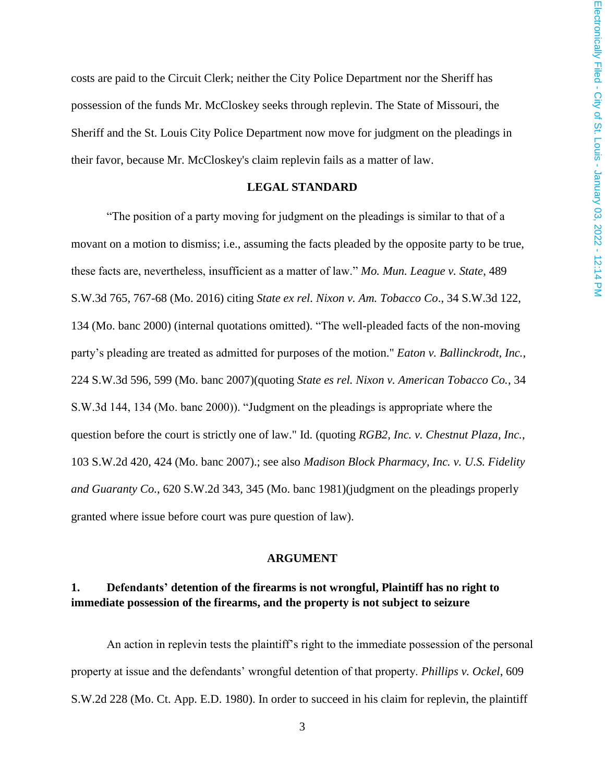costs are paid to the Circuit Clerk; neither the City Police Department nor the Sheriff has possession of the funds Mr. McCloskey seeks through replevin. The State of Missouri, the Sheriff and the St. Louis City Police Department now move for judgment on the pleadings in their favor, because Mr. McCloskey's claim replevin fails as a matter of law.

### **LEGAL STANDARD**

"The position of a party moving for judgment on the pleadings is similar to that of a movant on a motion to dismiss; i.e., assuming the facts pleaded by the opposite party to be true, these facts are, nevertheless, insufficient as a matter of law." *Mo. Mun. League v. State*, 489 S.W.3d 765, 767-68 (Mo. 2016) citing *State ex rel. Nixon v. Am. Tobacco Co*., 34 S.W.3d 122, 134 (Mo. banc 2000) (internal quotations omitted). "The well-pleaded facts of the non-moving party's pleading are treated as admitted for purposes of the motion." *Eaton v. Ballinckrodt, Inc.*, 224 S.W.3d 596, 599 (Mo. banc 2007)(quoting *State es rel. Nixon v. American Tobacco Co.*, 34 S.W.3d 144, 134 (Mo. banc 2000)). "Judgment on the pleadings is appropriate where the question before the court is strictly one of law." Id. (quoting *RGB2, Inc. v. Chestnut Plaza, Inc.*, 103 S.W.2d 420, 424 (Mo. banc 2007).; see also *Madison Block Pharmacy, Inc. v. U.S. Fidelity and Guaranty Co.*, 620 S.W.2d 343, 345 (Mo. banc 1981)(judgment on the pleadings properly granted where issue before court was pure question of law).

#### **ARGUMENT**

## **1. Defendants' detention of the firearms is not wrongful, Plaintiff has no right to immediate possession of the firearms, and the property is not subject to seizure**

An action in replevin tests the plaintiff's right to the immediate possession of the personal property at issue and the defendants' wrongful detention of that property. *Phillips v. Ockel*, 609 S.W.2d 228 (Mo. Ct. App. E.D. 1980). In order to succeed in his claim for replevin, the plaintiff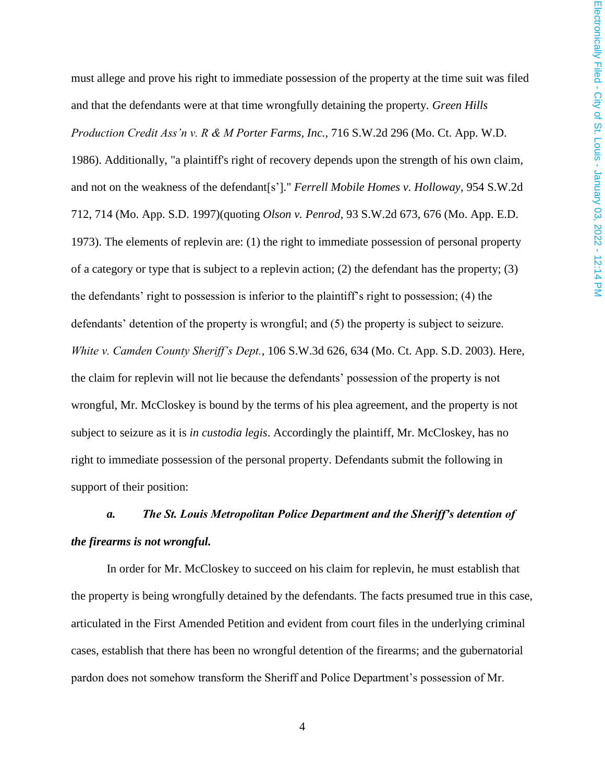must allege and prove his right to immediate possession of the property at the time suit was filed and that the defendants were at that time wrongfully detaining the property. *Green Hills Production Credit Ass'n v. R & M Porter Farms, Inc.*, 716 S.W.2d 296 (Mo. Ct. App. W.D. 1986). Additionally, "a plaintiff's right of recovery depends upon the strength of his own claim, and not on the weakness of the defendant[s']." *Ferrell Mobile Homes v. Holloway*, 954 S.W.2d 712, 714 (Mo. App. S.D. 1997)(quoting *Olson v. Penrod*, 93 S.W.2d 673, 676 (Mo. App. E.D. 1973). The elements of replevin are: (1) the right to immediate possession of personal property of a category or type that is subject to a replevin action; (2) the defendant has the property; (3) the defendants' right to possession is inferior to the plaintiff's right to possession; (4) the defendants' detention of the property is wrongful; and (5) the property is subject to seizure. *White v. Camden County Sheriff's Dept.*, 106 S.W.3d 626, 634 (Mo. Ct. App. S.D. 2003). Here, the claim for replevin will not lie because the defendants' possession of the property is not wrongful, Mr. McCloskey is bound by the terms of his plea agreement, and the property is not subject to seizure as it is *in custodia legis*. Accordingly the plaintiff, Mr. McCloskey, has no right to immediate possession of the personal property. Defendants submit the following in support of their position:

# *a. The St. Louis Metropolitan Police Department and the Sheriff's detention of the firearms is not wrongful.*

In order for Mr. McCloskey to succeed on his claim for replevin, he must establish that the property is being wrongfully detained by the defendants. The facts presumed true in this case, articulated in the First Amended Petition and evident from court files in the underlying criminal cases, establish that there has been no wrongful detention of the firearms; and the gubernatorial pardon does not somehow transform the Sheriff and Police Department's possession of Mr.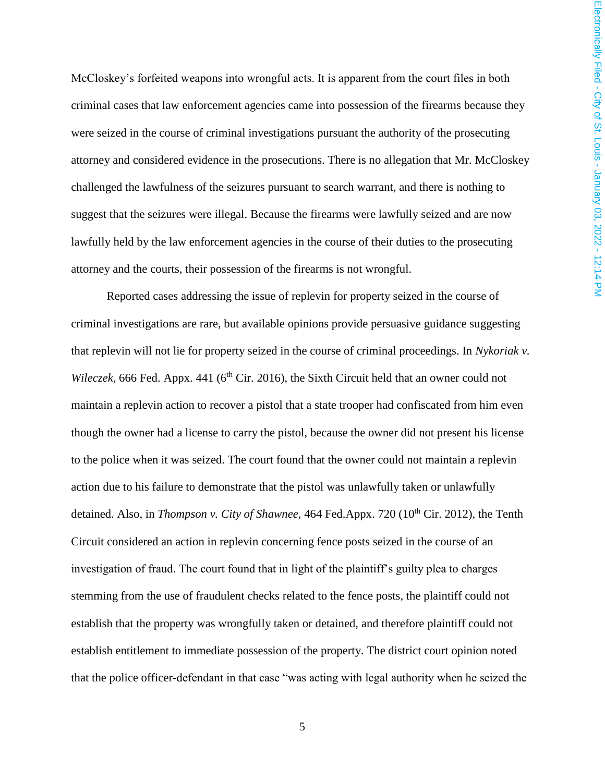McCloskey's forfeited weapons into wrongful acts. It is apparent from the court files in both criminal cases that law enforcement agencies came into possession of the firearms because they were seized in the course of criminal investigations pursuant the authority of the prosecuting attorney and considered evidence in the prosecutions. There is no allegation that Mr. McCloskey challenged the lawfulness of the seizures pursuant to search warrant, and there is nothing to suggest that the seizures were illegal. Because the firearms were lawfully seized and are now lawfully held by the law enforcement agencies in the course of their duties to the prosecuting attorney and the courts, their possession of the firearms is not wrongful.

Reported cases addressing the issue of replevin for property seized in the course of criminal investigations are rare, but available opinions provide persuasive guidance suggesting that replevin will not lie for property seized in the course of criminal proceedings. In *Nykoriak v. Wileczek*, 666 Fed. Appx. 441 (6<sup>th</sup> Cir. 2016), the Sixth Circuit held that an owner could not maintain a replevin action to recover a pistol that a state trooper had confiscated from him even though the owner had a license to carry the pistol, because the owner did not present his license to the police when it was seized. The court found that the owner could not maintain a replevin action due to his failure to demonstrate that the pistol was unlawfully taken or unlawfully detained. Also, in *Thompson v. City of Shawnee*, 464 Fed.Appx. 720 (10<sup>th</sup> Cir. 2012), the Tenth Circuit considered an action in replevin concerning fence posts seized in the course of an investigation of fraud. The court found that in light of the plaintiff's guilty plea to charges stemming from the use of fraudulent checks related to the fence posts, the plaintiff could not establish that the property was wrongfully taken or detained, and therefore plaintiff could not establish entitlement to immediate possession of the property. The district court opinion noted that the police officer-defendant in that case "was acting with legal authority when he seized the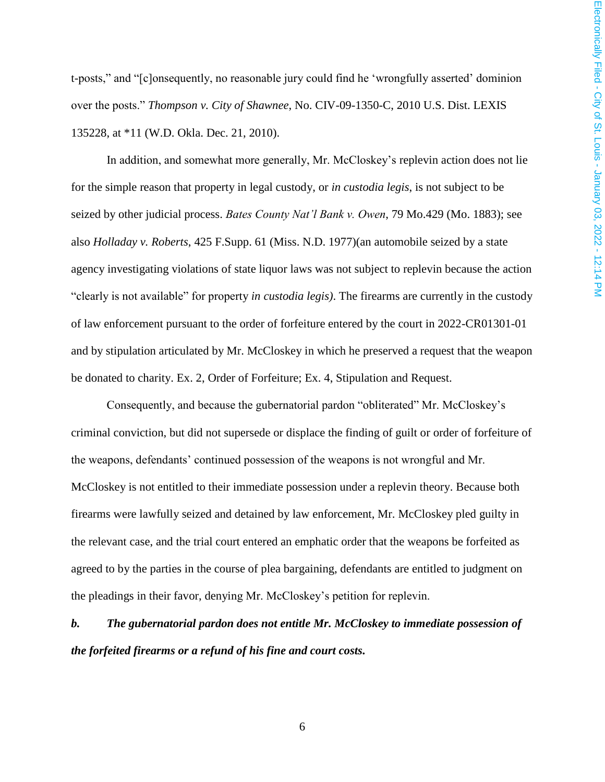t-posts," and "[c]onsequently, no reasonable jury could find he 'wrongfully asserted' dominion over the posts." *Thompson v. City of Shawnee*, No. CIV-09-1350-C, 2010 U.S. Dist. LEXIS 135228, at \*11 (W.D. Okla. Dec. 21, 2010).

In addition, and somewhat more generally, Mr. McCloskey's replevin action does not lie for the simple reason that property in legal custody, or *in custodia legis*, is not subject to be seized by other judicial process. *Bates County Nat'l Bank v. Owen*, 79 Mo.429 (Mo. 1883); see also *Holladay v. Roberts*, 425 F.Supp. 61 (Miss. N.D. 1977)(an automobile seized by a state agency investigating violations of state liquor laws was not subject to replevin because the action "clearly is not available" for property *in custodia legis)*. The firearms are currently in the custody of law enforcement pursuant to the order of forfeiture entered by the court in 2022-CR01301-01 and by stipulation articulated by Mr. McCloskey in which he preserved a request that the weapon be donated to charity. Ex. 2, Order of Forfeiture; Ex. 4, Stipulation and Request.

Consequently, and because the gubernatorial pardon "obliterated" Mr. McCloskey's criminal conviction, but did not supersede or displace the finding of guilt or order of forfeiture of the weapons, defendants' continued possession of the weapons is not wrongful and Mr. McCloskey is not entitled to their immediate possession under a replevin theory. Because both firearms were lawfully seized and detained by law enforcement, Mr. McCloskey pled guilty in the relevant case, and the trial court entered an emphatic order that the weapons be forfeited as agreed to by the parties in the course of plea bargaining, defendants are entitled to judgment on the pleadings in their favor, denying Mr. McCloskey's petition for replevin.

# *b. The gubernatorial pardon does not entitle Mr. McCloskey to immediate possession of the forfeited firearms or a refund of his fine and court costs.*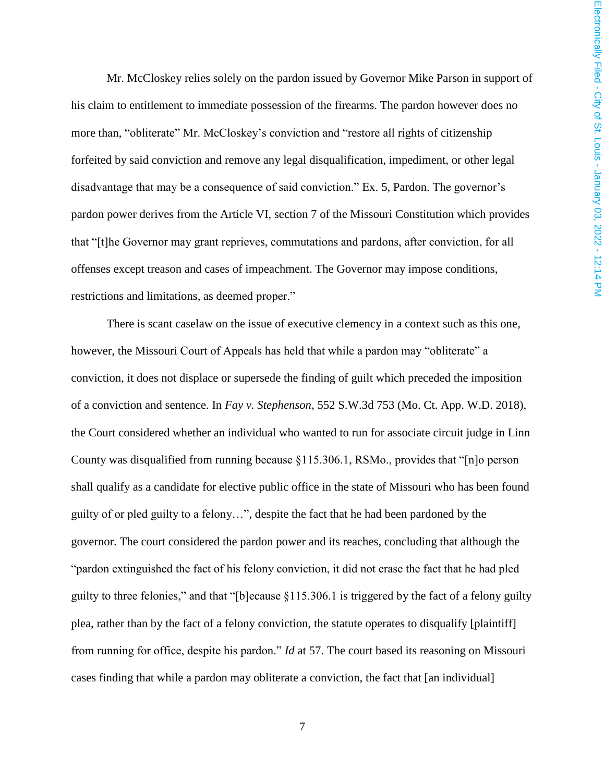Mr. McCloskey relies solely on the pardon issued by Governor Mike Parson in support of his claim to entitlement to immediate possession of the firearms. The pardon however does no more than, "obliterate" Mr. McCloskey's conviction and "restore all rights of citizenship forfeited by said conviction and remove any legal disqualification, impediment, or other legal disadvantage that may be a consequence of said conviction." Ex. 5, Pardon. The governor's pardon power derives from the Article VI, section 7 of the Missouri Constitution which provides that "[t]he Governor may grant reprieves, commutations and pardons, after conviction, for all offenses except treason and cases of impeachment. The Governor may impose conditions, restrictions and limitations, as deemed proper."

There is scant caselaw on the issue of executive clemency in a context such as this one, however, the Missouri Court of Appeals has held that while a pardon may "obliterate" a conviction, it does not displace or supersede the finding of guilt which preceded the imposition of a conviction and sentence. In *Fay v. Stephenson*, 552 S.W.3d 753 (Mo. Ct. App. W.D. 2018), the Court considered whether an individual who wanted to run for associate circuit judge in Linn County was disqualified from running because §115.306.1, RSMo., provides that "[n]o person shall qualify as a candidate for elective public office in the state of Missouri who has been found guilty of or pled guilty to a felony…", despite the fact that he had been pardoned by the governor. The court considered the pardon power and its reaches, concluding that although the "pardon extinguished the fact of his felony conviction, it did not erase the fact that he had pled guilty to three felonies," and that "[b]ecause §115.306.1 is triggered by the fact of a felony guilty plea, rather than by the fact of a felony conviction, the statute operates to disqualify [plaintiff] from running for office, despite his pardon." *Id* at 57. The court based its reasoning on Missouri cases finding that while a pardon may obliterate a conviction, the fact that [an individual]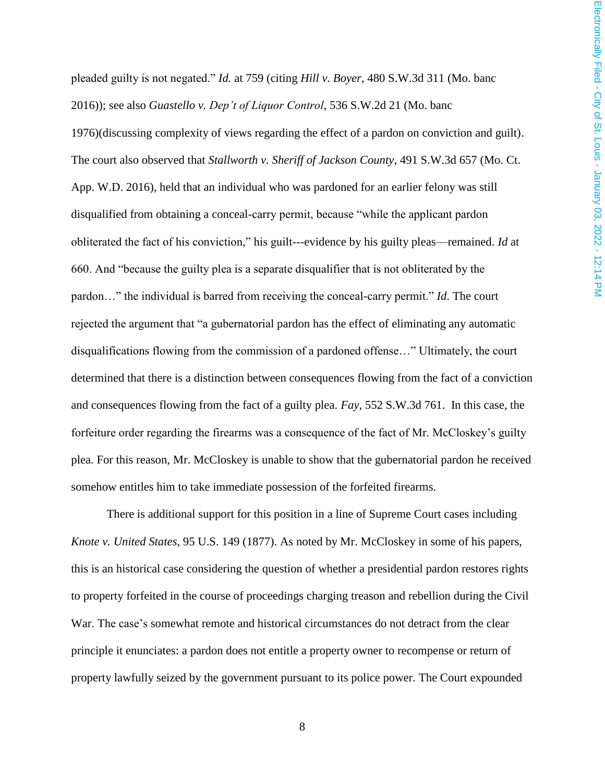pleaded guilty is not negated." *Id.* at 759 (citing *Hill v. Boyer*, 480 S.W.3d 311 (Mo. banc 2016)); see also *Guastello v. Dep't of Liquor Control*, 536 S.W.2d 21 (Mo. banc

1976)(discussing complexity of views regarding the effect of a pardon on conviction and guilt). The court also observed that *Stallworth v. Sheriff of Jackson County*, 491 S.W.3d 657 (Mo. Ct. App. W.D. 2016), held that an individual who was pardoned for an earlier felony was still disqualified from obtaining a conceal-carry permit, because "while the applicant pardon obliterated the fact of his conviction," his guilt---evidence by his guilty pleas—remained. *Id* at 660. And "because the guilty plea is a separate disqualifier that is not obliterated by the pardon…" the individual is barred from receiving the conceal-carry permit." *Id*. The court rejected the argument that "a gubernatorial pardon has the effect of eliminating any automatic disqualifications flowing from the commission of a pardoned offense…" Ultimately, the court determined that there is a distinction between consequences flowing from the fact of a conviction and consequences flowing from the fact of a guilty plea. *Fay*, 552 S.W.3d 761. In this case, the forfeiture order regarding the firearms was a consequence of the fact of Mr. McCloskey's guilty plea. For this reason, Mr. McCloskey is unable to show that the gubernatorial pardon he received somehow entitles him to take immediate possession of the forfeited firearms.

There is additional support for this position in a line of Supreme Court cases including *Knote v. United States*, 95 U.S. 149 (1877). As noted by Mr. McCloskey in some of his papers, this is an historical case considering the question of whether a presidential pardon restores rights to property forfeited in the course of proceedings charging treason and rebellion during the Civil War. The case's somewhat remote and historical circumstances do not detract from the clear principle it enunciates: a pardon does not entitle a property owner to recompense or return of property lawfully seized by the government pursuant to its police power. The Court expounded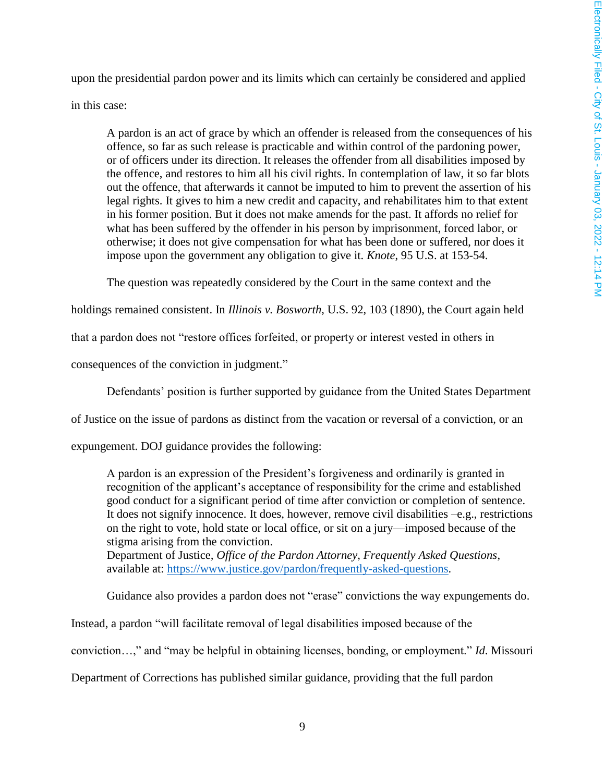upon the presidential pardon power and its limits which can certainly be considered and applied in this case:

A pardon is an act of grace by which an offender is released from the consequences of his offence, so far as such release is practicable and within control of the pardoning power, or of officers under its direction. It releases the offender from all disabilities imposed by the offence, and restores to him all his civil rights. In contemplation of law, it so far blots out the offence, that afterwards it cannot be imputed to him to prevent the assertion of his legal rights. It gives to him a new credit and capacity, and rehabilitates him to that extent in his former position. But it does not make amends for the past. It affords no relief for what has been suffered by the offender in his person by imprisonment, forced labor, or otherwise; it does not give compensation for what has been done or suffered, nor does it impose upon the government any obligation to give it. *Knote*, 95 U.S. at 153-54.

The question was repeatedly considered by the Court in the same context and the

holdings remained consistent. In *Illinois v. Bosworth*, U.S. 92, 103 (1890), the Court again held

that a pardon does not "restore offices forfeited, or property or interest vested in others in

consequences of the conviction in judgment."

Defendants' position is further supported by guidance from the United States Department

of Justice on the issue of pardons as distinct from the vacation or reversal of a conviction, or an

expungement. DOJ guidance provides the following:

A pardon is an expression of the President's forgiveness and ordinarily is granted in recognition of the applicant's acceptance of responsibility for the crime and established good conduct for a significant period of time after conviction or completion of sentence. It does not signify innocence. It does, however, remove civil disabilities –e.g., restrictions on the right to vote, hold state or local office, or sit on a jury—imposed because of the stigma arising from the conviction.

Department of Justice*, Office of the Pardon Attorney, Frequently Asked Questions*, available at: [https://www.justice.gov/pardon/frequently-asked-questions.](https://www.justice.gov/pardon/frequently-asked-questions)

Guidance also provides a pardon does not "erase" convictions the way expungements do.

Instead, a pardon "will facilitate removal of legal disabilities imposed because of the

conviction…," and "may be helpful in obtaining licenses, bonding, or employment." *Id*. Missouri

Department of Corrections has published similar guidance, providing that the full pardon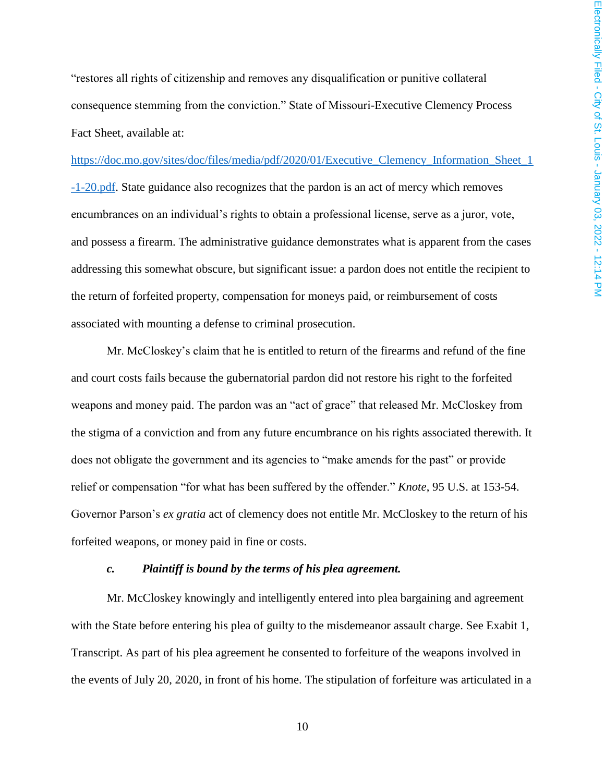"restores all rights of citizenship and removes any disqualification or punitive collateral consequence stemming from the conviction." State of Missouri-Executive Clemency Process Fact Sheet, available at:

[https://doc.mo.gov/sites/doc/files/media/pdf/2020/01/Executive\\_Clemency\\_Information\\_Sheet\\_1](https://doc.mo.gov/sites/doc/files/media/pdf/2020/01/Executive_Clemency_Information_Sheet_1-1-20.pdf) [-1-20.pdf.](https://doc.mo.gov/sites/doc/files/media/pdf/2020/01/Executive_Clemency_Information_Sheet_1-1-20.pdf) State guidance also recognizes that the pardon is an act of mercy which removes encumbrances on an individual's rights to obtain a professional license, serve as a juror, vote, and possess a firearm. The administrative guidance demonstrates what is apparent from the cases addressing this somewhat obscure, but significant issue: a pardon does not entitle the recipient to the return of forfeited property, compensation for moneys paid, or reimbursement of costs associated with mounting a defense to criminal prosecution.

Mr. McCloskey's claim that he is entitled to return of the firearms and refund of the fine and court costs fails because the gubernatorial pardon did not restore his right to the forfeited weapons and money paid. The pardon was an "act of grace" that released Mr. McCloskey from the stigma of a conviction and from any future encumbrance on his rights associated therewith. It does not obligate the government and its agencies to "make amends for the past" or provide relief or compensation "for what has been suffered by the offender." *Knote*, 95 U.S. at 153-54. Governor Parson's *ex gratia* act of clemency does not entitle Mr. McCloskey to the return of his forfeited weapons, or money paid in fine or costs.

#### *c. Plaintiff is bound by the terms of his plea agreement.*

Mr. McCloskey knowingly and intelligently entered into plea bargaining and agreement with the State before entering his plea of guilty to the misdemeanor assault charge. See Exabit 1, Transcript. As part of his plea agreement he consented to forfeiture of the weapons involved in the events of July 20, 2020, in front of his home. The stipulation of forfeiture was articulated in a

10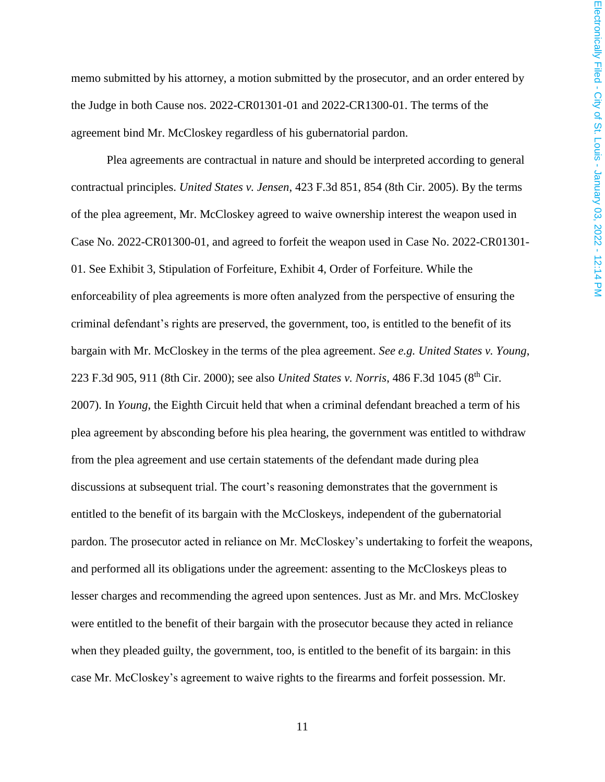memo submitted by his attorney, a motion submitted by the prosecutor, and an order entered by the Judge in both Cause nos. 2022-CR01301-01 and 2022-CR1300-01. The terms of the agreement bind Mr. McCloskey regardless of his gubernatorial pardon.

Plea agreements are contractual in nature and should be interpreted according to general contractual principles. *United States v. Jensen*, 423 F.3d 851, 854 (8th Cir. 2005). By the terms of the plea agreement, Mr. McCloskey agreed to waive ownership interest the weapon used in Case No. 2022-CR01300-01, and agreed to forfeit the weapon used in Case No. 2022-CR01301- 01. See Exhibit 3, Stipulation of Forfeiture, Exhibit 4, Order of Forfeiture. While the enforceability of plea agreements is more often analyzed from the perspective of ensuring the criminal defendant's rights are preserved, the government, too, is entitled to the benefit of its bargain with Mr. McCloskey in the terms of the plea agreement. *See e.g. United States v. Young*, 223 F.3d 905, 911 (8th Cir. 2000); see also *United States v. Norris*, 486 F.3d 1045 (8th Cir. 2007). In *Young*, the Eighth Circuit held that when a criminal defendant breached a term of his plea agreement by absconding before his plea hearing, the government was entitled to withdraw from the plea agreement and use certain statements of the defendant made during plea discussions at subsequent trial. The court's reasoning demonstrates that the government is entitled to the benefit of its bargain with the McCloskeys, independent of the gubernatorial pardon. The prosecutor acted in reliance on Mr. McCloskey's undertaking to forfeit the weapons, and performed all its obligations under the agreement: assenting to the McCloskeys pleas to lesser charges and recommending the agreed upon sentences. Just as Mr. and Mrs. McCloskey were entitled to the benefit of their bargain with the prosecutor because they acted in reliance when they pleaded guilty, the government, too, is entitled to the benefit of its bargain: in this case Mr. McCloskey's agreement to waive rights to the firearms and forfeit possession. Mr.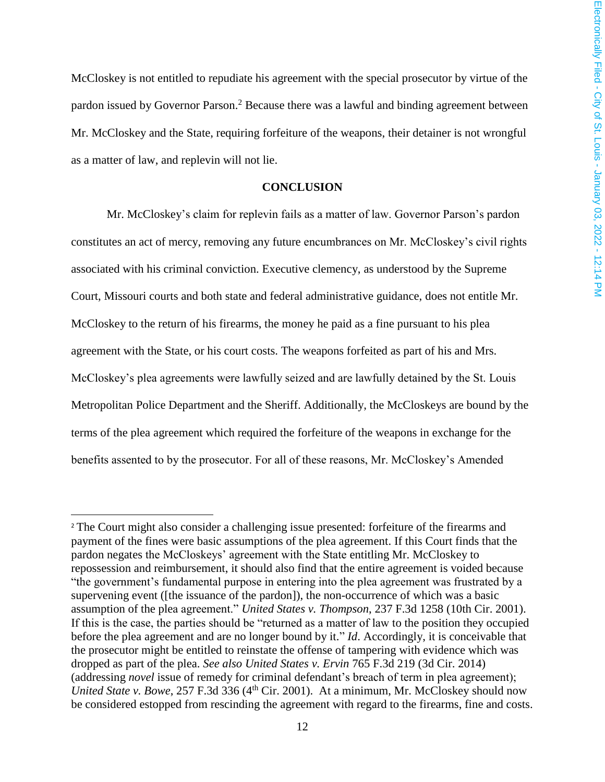McCloskey is not entitled to repudiate his agreement with the special prosecutor by virtue of the pardon issued by Governor Parson.<sup>2</sup> Because there was a lawful and binding agreement between Mr. McCloskey and the State, requiring forfeiture of the weapons, their detainer is not wrongful as a matter of law, and replevin will not lie.

### **CONCLUSION**

Mr. McCloskey's claim for replevin fails as a matter of law. Governor Parson's pardon constitutes an act of mercy, removing any future encumbrances on Mr. McCloskey's civil rights associated with his criminal conviction. Executive clemency, as understood by the Supreme Court, Missouri courts and both state and federal administrative guidance, does not entitle Mr. McCloskey to the return of his firearms, the money he paid as a fine pursuant to his plea agreement with the State, or his court costs. The weapons forfeited as part of his and Mrs. McCloskey's plea agreements were lawfully seized and are lawfully detained by the St. Louis Metropolitan Police Department and the Sheriff. Additionally, the McCloskeys are bound by the terms of the plea agreement which required the forfeiture of the weapons in exchange for the benefits assented to by the prosecutor. For all of these reasons, Mr. McCloskey's Amended

 $\overline{a}$ 

<sup>&</sup>lt;sup>2</sup> The Court might also consider a challenging issue presented: for feiture of the firearms and payment of the fines were basic assumptions of the plea agreement. If this Court finds that the pardon negates the McCloskeys' agreement with the State entitling Mr. McCloskey to repossession and reimbursement, it should also find that the entire agreement is voided because "the government's fundamental purpose in entering into the plea agreement was frustrated by a supervening event ([the issuance of the pardon]), the non-occurrence of which was a basic assumption of the plea agreement." *United States v. Thompson*, 237 F.3d 1258 (10th Cir. 2001). If this is the case, the parties should be "returned as a matter of law to the position they occupied before the plea agreement and are no longer bound by it." *Id*. Accordingly, it is conceivable that the prosecutor might be entitled to reinstate the offense of tampering with evidence which was dropped as part of the plea. *See also United States v. Ervin* 765 F.3d 219 (3d Cir. 2014) (addressing *novel* issue of remedy for criminal defendant's breach of term in plea agreement); *United State v. Bowe, 257 F.3d 336 (4<sup>th</sup> Cir. 2001).* At a minimum, Mr. McCloskey should now be considered estopped from rescinding the agreement with regard to the firearms, fine and costs.